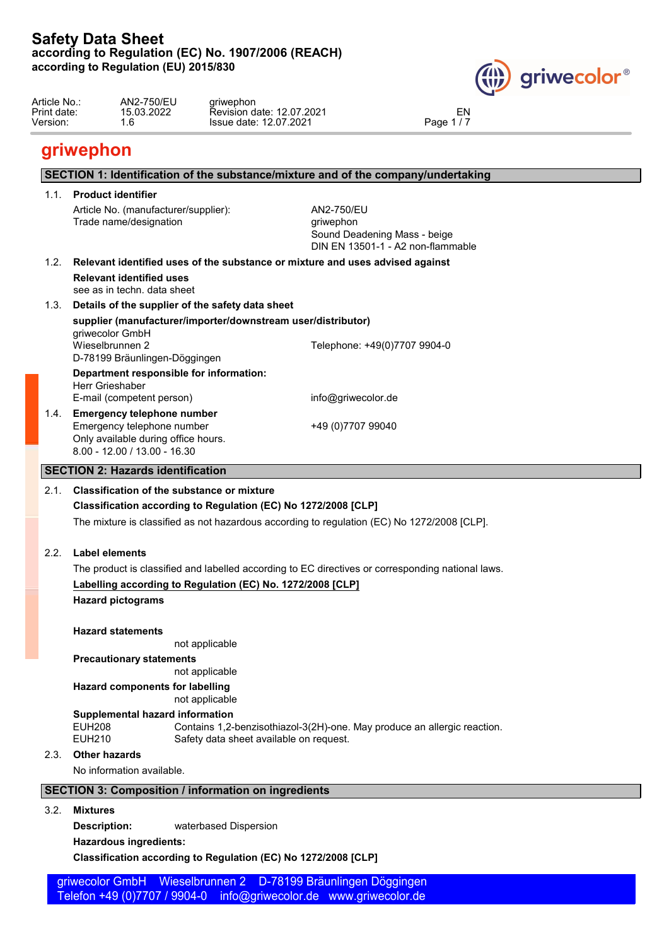

| AN2-750/EU<br>Article No.:<br>ariwephon<br>Print date:<br>2022<br>EN<br>12.07.2021<br>15. O <sub>2</sub><br>Revision<br>∟date: ∟<br>.ZUZ<br>12.07.2021<br>Version:<br>مممت<br>date: 1<br><b>Issue</b><br>auc-<br>. . U |  |
|------------------------------------------------------------------------------------------------------------------------------------------------------------------------------------------------------------------------|--|
|------------------------------------------------------------------------------------------------------------------------------------------------------------------------------------------------------------------------|--|

# **griwephon**

|                      | 1.1. Product identifier                                                                                                                                                           |                                                                                                                                                                                                  |
|----------------------|-----------------------------------------------------------------------------------------------------------------------------------------------------------------------------------|--------------------------------------------------------------------------------------------------------------------------------------------------------------------------------------------------|
|                      | Article No. (manufacturer/supplier):<br>Trade name/designation                                                                                                                    | AN2-750/EU<br>griwephon<br>Sound Deadening Mass - beige<br>DIN EN 13501-1 - A2 non-flammable                                                                                                     |
| 1.2.                 | Relevant identified uses of the substance or mixture and uses advised against                                                                                                     |                                                                                                                                                                                                  |
|                      | <b>Relevant identified uses</b><br>see as in techn, data sheet                                                                                                                    |                                                                                                                                                                                                  |
|                      | 1.3. Details of the supplier of the safety data sheet                                                                                                                             |                                                                                                                                                                                                  |
|                      | supplier (manufacturer/importer/downstream user/distributor)                                                                                                                      |                                                                                                                                                                                                  |
|                      | griwecolor GmbH<br>Wieselbrunnen 2<br>D-78199 Bräunlingen-Döggingen                                                                                                               | Telephone: +49(0)7707 9904-0                                                                                                                                                                     |
|                      | Department responsible for information:                                                                                                                                           |                                                                                                                                                                                                  |
|                      | Herr Grieshaber<br>E-mail (competent person)                                                                                                                                      | info@griwecolor.de                                                                                                                                                                               |
|                      | 1.4. Emergency telephone number<br>Emergency telephone number<br>Only available during office hours.<br>$8.00 - 12.00 / 13.00 - 16.30$                                            | +49 (0)7707 99040                                                                                                                                                                                |
|                      | <b>SECTION 2: Hazards identification</b>                                                                                                                                          |                                                                                                                                                                                                  |
|                      | <b>Classification of the substance or mixture</b>                                                                                                                                 |                                                                                                                                                                                                  |
|                      | Classification according to Regulation (EC) No 1272/2008 [CLP]<br><b>Label elements</b><br>Labelling according to Regulation (EC) No. 1272/2008 [CLP]<br><b>Hazard pictograms</b> | The mixture is classified as not hazardous according to regulation (EC) No 1272/2008 [CLP].<br>The product is classified and labelled according to EC directives or corresponding national laws. |
|                      | <b>Hazard statements</b>                                                                                                                                                          |                                                                                                                                                                                                  |
|                      | not applicable                                                                                                                                                                    |                                                                                                                                                                                                  |
|                      | <b>Precautionary statements</b>                                                                                                                                                   |                                                                                                                                                                                                  |
|                      | not applicable<br><b>Hazard components for labelling</b>                                                                                                                          |                                                                                                                                                                                                  |
|                      | not applicable                                                                                                                                                                    |                                                                                                                                                                                                  |
|                      | Supplemental hazard information<br><b>EUH208</b><br><b>EUH210</b><br>Safety data sheet available on request.                                                                      | Contains 1,2-benzisothiazol-3(2H)-one. May produce an allergic reaction.                                                                                                                         |
|                      | <b>Other hazards</b>                                                                                                                                                              |                                                                                                                                                                                                  |
|                      | No information available.                                                                                                                                                         |                                                                                                                                                                                                  |
|                      |                                                                                                                                                                                   |                                                                                                                                                                                                  |
| 2.1.<br>2.2.<br>2.3. | <b>SECTION 3: Composition / information on ingredients</b>                                                                                                                        |                                                                                                                                                                                                  |
| 3.2.                 | <b>Mixtures</b>                                                                                                                                                                   |                                                                                                                                                                                                  |
|                      | waterbased Dispersion<br>Description:<br><b>Hazardous ingredients:</b>                                                                                                            |                                                                                                                                                                                                  |

 griwecolor GmbH Wieselbrunnen 2 D-78199 Bräunlingen Döggingen Telefon +49 (0)7707 / 9904-0 info@griwecolor.de www.griwecolor.de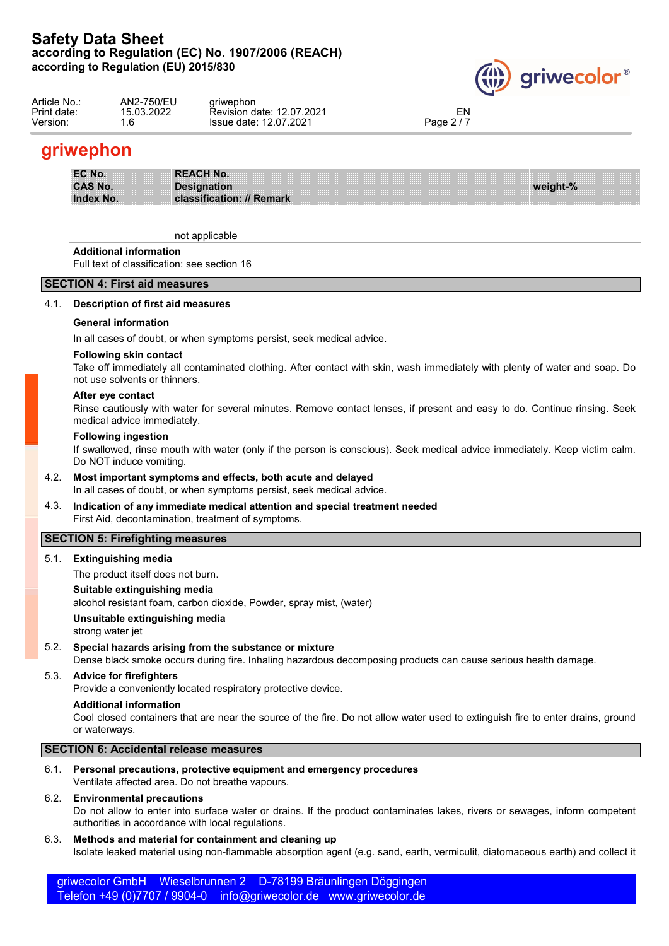

| Article No.: | AN2-750/EU | ariwephon                 |                          |  |
|--------------|------------|---------------------------|--------------------------|--|
| Print date:  | 15.03.2022 | Revision date: 12.07.2021 | EN                       |  |
| Version:     | $\ddotsc$  | Issue date: 12.07.2021    | $\sim$ $\sim$<br>Page 2, |  |
|              |            |                           |                          |  |

# **griwephon**

| EC No.           | <b>REACH No.</b>          |          |
|------------------|---------------------------|----------|
| <b>CAS No.</b>   | <b>Designation</b>        | weight-% |
| <b>Index No.</b> | classification: // Remark |          |

not applicable

### **Additional information**

Full text of classification: see section 16

### **SECTION 4: First aid measures**

### 4.1. **Description of first aid measures**

### **General information**

In all cases of doubt, or when symptoms persist, seek medical advice.

### **Following skin contact**

Take off immediately all contaminated clothing. After contact with skin, wash immediately with plenty of water and soap. Do not use solvents or thinners.

#### **After eye contact**

Rinse cautiously with water for several minutes. Remove contact lenses, if present and easy to do. Continue rinsing. Seek medical advice immediately.

#### **Following ingestion**

If swallowed, rinse mouth with water (only if the person is conscious). Seek medical advice immediately. Keep victim calm. Do NOT induce vomiting.

- 4.2. **Most important symptoms and effects, both acute and delayed** In all cases of doubt, or when symptoms persist, seek medical advice.
- 4.3. **Indication of any immediate medical attention and special treatment needed** First Aid, decontamination, treatment of symptoms.

### **SECTION 5: Firefighting measures**

5.1. **Extinguishing media**

The product itself does not burn.

### **Suitable extinguishing media**

alcohol resistant foam, carbon dioxide, Powder, spray mist, (water)

### **Unsuitable extinguishing media**

strong water jet

# 5.2. **Special hazards arising from the substance or mixture**

Dense black smoke occurs during fire. Inhaling hazardous decomposing products can cause serious health damage.

### 5.3. **Advice for firefighters**

Provide a conveniently located respiratory protective device.

### **Additional information**

Cool closed containers that are near the source of the fire. Do not allow water used to extinguish fire to enter drains, ground or waterways.

### **SECTION 6: Accidental release measures**

6.1. **Personal precautions, protective equipment and emergency procedures** Ventilate affected area. Do not breathe vapours.

### 6.2. **Environmental precautions**

Do not allow to enter into surface water or drains. If the product contaminates lakes, rivers or sewages, inform competent authorities in accordance with local regulations.

### 6.3. **Methods and material for containment and cleaning up**

Isolate leaked material using non-flammable absorption agent (e.g. sand, earth, vermiculit, diatomaceous earth) and collect it

 griwecolor GmbH Wieselbrunnen 2 D-78199 Bräunlingen Döggingen Telefon +49 (0)7707 / 9904-0 info@griwecolor.de www.griwecolor.de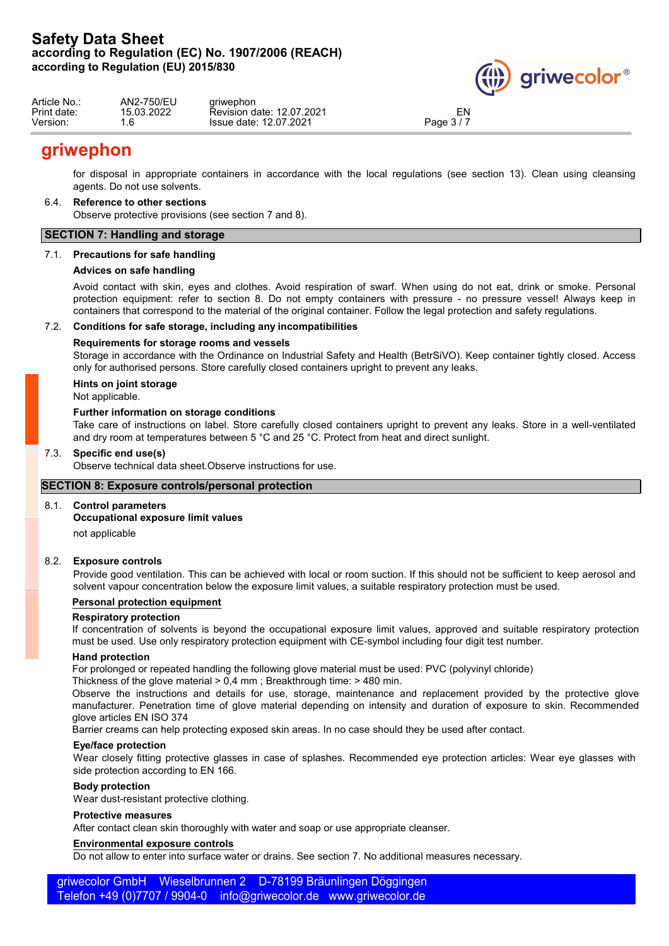

| Article No.: | AN2-750/EU       | ariwephon                 |          |  |
|--------------|------------------|---------------------------|----------|--|
| Print date:  | 15.03.2022       | Revision date: 12.07.2021 | EN       |  |
| Version:     | $\epsilon$<br>.o | Issue date: 12.07.2021    | Page 3/7 |  |

# **griwephon**

for disposal in appropriate containers in accordance with the local regulations (see section 13). Clean using cleansing agents. Do not use solvents.

### 6.4. **Reference to other sections**

Observe protective provisions (see section 7 and 8).

## **SECTION 7: Handling and storage**

### 7.1. **Precautions for safe handling**

### **Advices on safe handling**

Avoid contact with skin, eyes and clothes. Avoid respiration of swarf. When using do not eat, drink or smoke. Personal protection equipment: refer to section 8. Do not empty containers with pressure - no pressure vessel! Always keep in containers that correspond to the material of the original container. Follow the legal protection and safety regulations.

### 7.2. **Conditions for safe storage, including any incompatibilities**

### **Requirements for storage rooms and vessels**

Storage in accordance with the Ordinance on Industrial Safety and Health (BetrSiVO). Keep container tightly closed. Access only for authorised persons. Store carefully closed containers upright to prevent any leaks.

# **Hints on joint storage**

Not applicable.

### **Further information on storage conditions**

Take care of instructions on label. Store carefully closed containers upright to prevent any leaks. Store in a well-ventilated and dry room at temperatures between 5 °C and 25 °C. Protect from heat and direct sunlight.

### 7.3. **Specific end use(s)**

Observe technical data sheet.Observe instructions for use.

### **SECTION 8: Exposure controls/personal protection**

### 8.1. **Control parameters**

### **Occupational exposure limit values**

not applicable

### 8.2. **Exposure controls**

Provide good ventilation. This can be achieved with local or room suction. If this should not be sufficient to keep aerosol and solvent vapour concentration below the exposure limit values, a suitable respiratory protection must be used.

### **Personal protection equipment**

### **Respiratory protection**

If concentration of solvents is beyond the occupational exposure limit values, approved and suitable respiratory protection must be used. Use only respiratory protection equipment with CE-symbol including four digit test number.

### **Hand protection**

For prolonged or repeated handling the following glove material must be used: PVC (polyvinyl chloride)

Thickness of the glove material > 0,4 mm ; Breakthrough time: > 480 min.

Observe the instructions and details for use, storage, maintenance and replacement provided by the protective glove manufacturer. Penetration time of glove material depending on intensity and duration of exposure to skin. Recommended glove articles EN ISO 374

Barrier creams can help protecting exposed skin areas. In no case should they be used after contact.

### **Eye/face protection**

Wear closely fitting protective glasses in case of splashes. Recommended eye protection articles: Wear eye glasses with side protection according to EN 166.

### **Body protection**

Wear dust-resistant protective clothing.

### **Protective measures**

After contact clean skin thoroughly with water and soap or use appropriate cleanser.

### **Environmental exposure controls**

Do not allow to enter into surface water or drains. See section 7. No additional measures necessary.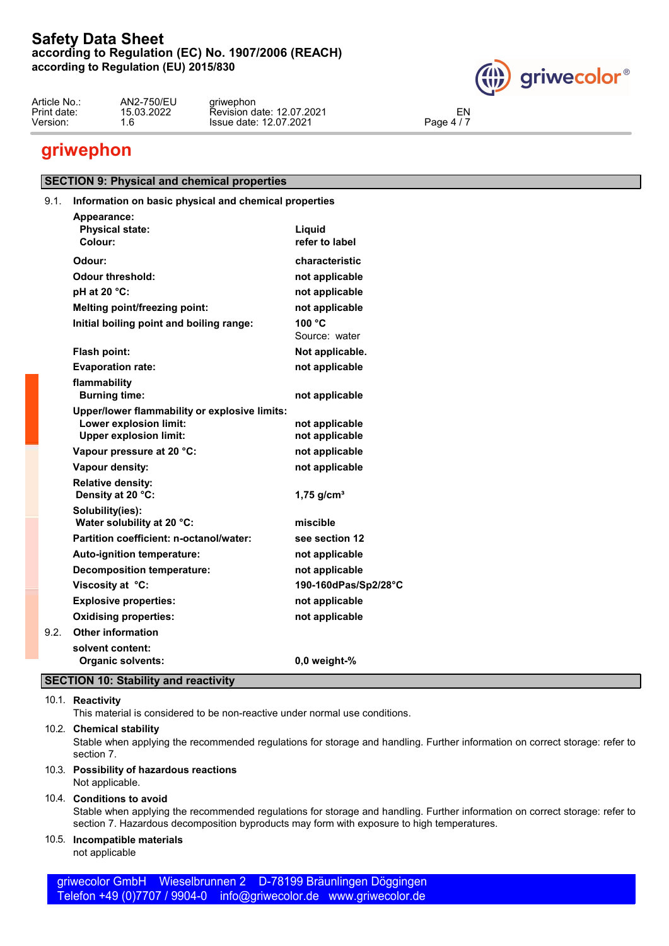

| AN2-750/EU<br>Article No.:<br>ariwephon<br>. .<br>Print date:<br>15.03.2022<br>EN<br>date: 12.07.2021 ن<br>Revision<br>date: 12.07.2021 ر<br>Version:<br>$\sim$<br>ാഹപ<br><b>Issue</b><br>6<br>$\mathbf{A}$<br>aue. |  |
|---------------------------------------------------------------------------------------------------------------------------------------------------------------------------------------------------------------------|--|
|---------------------------------------------------------------------------------------------------------------------------------------------------------------------------------------------------------------------|--|

# **griwephon**

# **SECTION 9: Physical and chemical properties**

# 9.1. **Information on basic physical and chemical properties**

| Appearance:                                                             |                          |
|-------------------------------------------------------------------------|--------------------------|
| <b>Physical state:</b><br>Colour:                                       | Liquid                   |
|                                                                         | refer to label           |
| Odour:                                                                  | characteristic           |
| <b>Odour threshold:</b>                                                 | not applicable           |
| pH at 20 °C:                                                            | not applicable           |
| Melting point/freezing point:                                           | not applicable           |
| Initial boiling point and boiling range:                                | 100 °C                   |
|                                                                         | Source: water            |
| Flash point:                                                            | Not applicable.          |
| <b>Evaporation rate:</b>                                                | not applicable           |
| flammability                                                            |                          |
| <b>Burning time:</b>                                                    | not applicable           |
| Upper/lower flammability or explosive limits:<br>Lower explosion limit: | not applicable           |
| <b>Upper explosion limit:</b>                                           | not applicable           |
| Vapour pressure at 20 °C:                                               | not applicable           |
| Vapour density:                                                         | not applicable           |
| <b>Relative density:</b>                                                |                          |
| Density at 20 °C:                                                       | $1,75$ g/cm <sup>3</sup> |
| Solubility(ies):                                                        |                          |
| Water solubility at 20 °C:                                              | miscible                 |
| Partition coefficient: n-octanol/water:                                 | see section 12           |
| Auto-ignition temperature:                                              | not applicable           |
| <b>Decomposition temperature:</b>                                       | not applicable           |
| Viscosity at °C:                                                        | 190-160dPas/Sp2/28°C     |
| <b>Explosive properties:</b>                                            | not applicable           |
| <b>Oxidising properties:</b>                                            | not applicable           |
| 9.2.<br><b>Other information</b>                                        |                          |
| solvent content:                                                        |                          |
| <b>Organic solvents:</b>                                                | 0,0 weight-%             |

# **SECTION 10: Stability and reactivity**

# 10.1. **Reactivity**

This material is considered to be non-reactive under normal use conditions.

### 10.2. **Chemical stability**

Stable when applying the recommended regulations for storage and handling. Further information on correct storage: refer to section 7.

# 10.3. **Possibility of hazardous reactions**

### Not applicable.

### 10.4. **Conditions to avoid**

Stable when applying the recommended regulations for storage and handling. Further information on correct storage: refer to section 7. Hazardous decomposition byproducts may form with exposure to high temperatures.

# 10.5. **Incompatible materials**

not applicable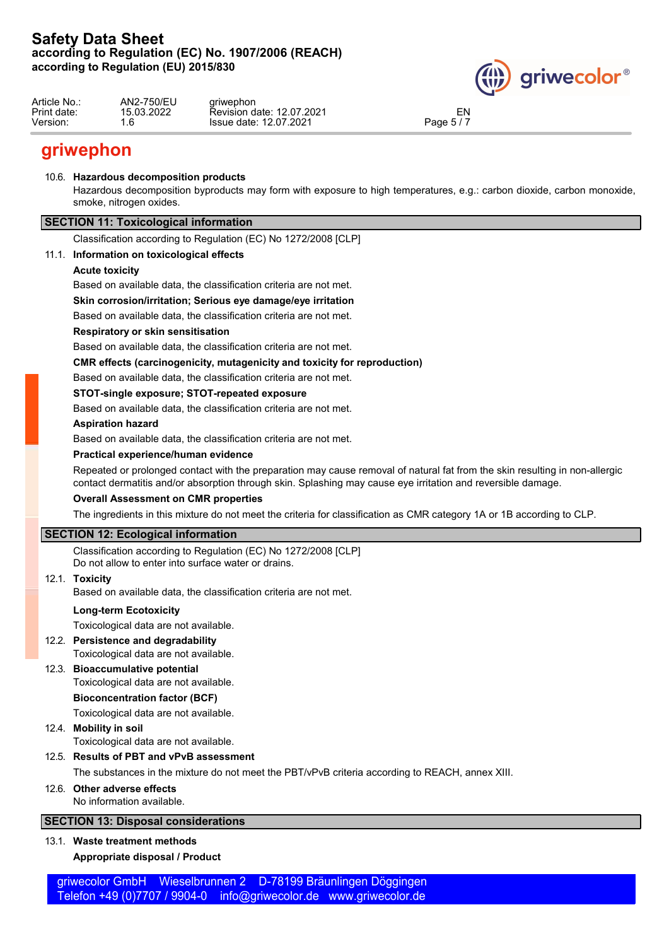

| Article No.:<br>Print date: | AN2-750/EU<br>15.03.2022 | ariwephon<br>Revision date: 12.07.2021 | EN        |  |
|-----------------------------|--------------------------|----------------------------------------|-----------|--|
| Version:                    | $\sim$<br>. ხ            | Issue date: 12.07.2021                 | Page $5/$ |  |

# **griwephon**

## 10.6. **Hazardous decomposition products**

Hazardous decomposition byproducts may form with exposure to high temperatures, e.g.: carbon dioxide, carbon monoxide, smoke, nitrogen oxides.

# **SECTION 11: Toxicological information**

Classification according to Regulation (EC) No 1272/2008 [CLP]

# 11.1. **Information on toxicological effects**

### **Acute toxicity**

Based on available data, the classification criteria are not met.

### **Skin corrosion/irritation; Serious eye damage/eye irritation**

Based on available data, the classification criteria are not met.

### **Respiratory or skin sensitisation**

Based on available data, the classification criteria are not met.

### **CMR effects (carcinogenicity, mutagenicity and toxicity for reproduction)**

Based on available data, the classification criteria are not met.

### **STOT-single exposure; STOT-repeated exposure**

Based on available data, the classification criteria are not met.

### **Aspiration hazard**

Based on available data, the classification criteria are not met.

### **Practical experience/human evidence**

Repeated or prolonged contact with the preparation may cause removal of natural fat from the skin resulting in non-allergic contact dermatitis and/or absorption through skin. Splashing may cause eye irritation and reversible damage.

### **Overall Assessment on CMR properties**

The ingredients in this mixture do not meet the criteria for classification as CMR category 1A or 1B according to CLP.

# **SECTION 12: Ecological information**

Classification according to Regulation (EC) No 1272/2008 [CLP] Do not allow to enter into surface water or drains.

### 12.1. **Toxicity**

Based on available data, the classification criteria are not met.

# **Long-term Ecotoxicity**

Toxicological data are not available.

# 12.2. **Persistence and degradability**

Toxicological data are not available.

# 12.3. **Bioaccumulative potential**

Toxicological data are not available.

### **Bioconcentration factor (BCF)**

Toxicological data are not available.

# 12.4. **Mobility in soil**

Toxicological data are not available.

# 12.5. **Results of PBT and vPvB assessment**

The substances in the mixture do not meet the PBT/vPvB criteria according to REACH, annex XIII.

# 12.6. **Other adverse effects**

No information available.

# **SECTION 13: Disposal considerations**

# 13.1. **Waste treatment methods**

# **Appropriate disposal / Product**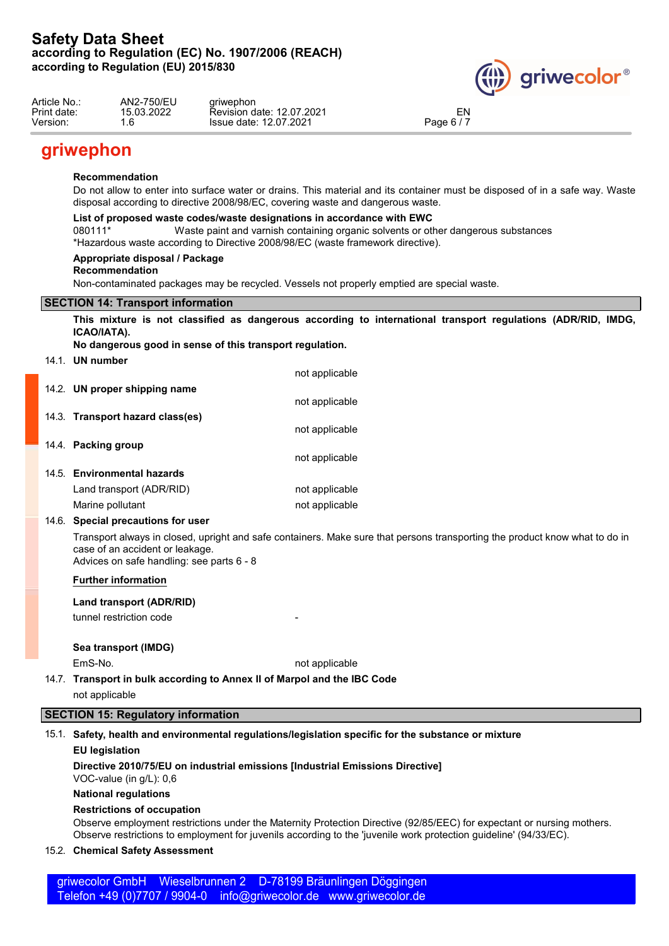

| Article No.:<br>Print date: | AN2-750/EU<br>15.03.2022 | ariwephon<br>Revision date: 12.07.2021 | EN                                  |  |
|-----------------------------|--------------------------|----------------------------------------|-------------------------------------|--|
| Version:                    | $\sim$<br>. ხ            | Issue date: 12.07.2021                 | Page 6 $/$ $\overline{\phantom{a}}$ |  |

# **griwephon**

### **Recommendation**

Do not allow to enter into surface water or drains. This material and its container must be disposed of in a safe way. Waste disposal according to directive 2008/98/EC, covering waste and dangerous waste.

### **List of proposed waste codes/waste designations in accordance with EWC**

080111\* Waste paint and varnish containing organic solvents or other dangerous substances

\*Hazardous waste according to Directive 2008/98/EC (waste framework directive).

### **Appropriate disposal / Package**

### **Recommendation**

Non-contaminated packages may be recycled. Vessels not properly emptied are special waste.

## **SECTION 14: Transport information**

**This mixture is not classified as dangerous according to international transport regulations (ADR/RID, IMDG, ICAO/IATA).**

**No dangerous good in sense of this transport regulation.**

14.1. **UN number**

|                                  | not applicable |
|----------------------------------|----------------|
| 14.2. UN proper shipping name    | not applicable |
| 14.3. Transport hazard class(es) |                |
|                                  | not applicable |
| 14.4. Packing group              | not applicable |
| 14.5. Environmental hazards      |                |
| Land transport (ADR/RID)         | not applicable |

Marine pollutant not applicable

## 14.6. **Special precautions for user**

Transport always in closed, upright and safe containers. Make sure that persons transporting the product know what to do in case of an accident or leakage.

Advices on safe handling: see parts 6 - 8

### **Further information**

**Land transport (ADR/RID)**

tunnel restriction code

### **Sea transport (IMDG)**

EmS-No. **not applicable** 

14.7. **Transport in bulk according to Annex II of Marpol and the IBC Code**

not applicable

# **SECTION 15: Regulatory information**

### 15.1. **Safety, health and environmental regulations/legislation specific for the substance or mixture**

### **EU legislation**

**Directive 2010/75/EU on industrial emissions [Industrial Emissions Directive]**

VOC-value (in g/L): 0,6

# **National regulations**

### **Restrictions of occupation**

Observe employment restrictions under the Maternity Protection Directive (92/85/EEC) for expectant or nursing mothers. Observe restrictions to employment for juvenils according to the 'juvenile work protection guideline' (94/33/EC).

### 15.2. **Chemical Safety Assessment**